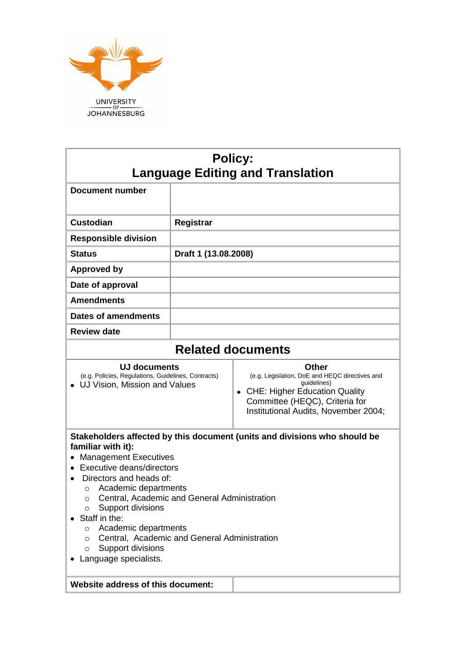

| <b>Registrar</b>                                                                                                                                                                                                                                                                                                                                                                                                                                                                                                         |  |  |  |
|--------------------------------------------------------------------------------------------------------------------------------------------------------------------------------------------------------------------------------------------------------------------------------------------------------------------------------------------------------------------------------------------------------------------------------------------------------------------------------------------------------------------------|--|--|--|
|                                                                                                                                                                                                                                                                                                                                                                                                                                                                                                                          |  |  |  |
| Draft 1 (13.08.2008)                                                                                                                                                                                                                                                                                                                                                                                                                                                                                                     |  |  |  |
|                                                                                                                                                                                                                                                                                                                                                                                                                                                                                                                          |  |  |  |
|                                                                                                                                                                                                                                                                                                                                                                                                                                                                                                                          |  |  |  |
|                                                                                                                                                                                                                                                                                                                                                                                                                                                                                                                          |  |  |  |
|                                                                                                                                                                                                                                                                                                                                                                                                                                                                                                                          |  |  |  |
|                                                                                                                                                                                                                                                                                                                                                                                                                                                                                                                          |  |  |  |
| <b>Related documents</b>                                                                                                                                                                                                                                                                                                                                                                                                                                                                                                 |  |  |  |
| <b>Other</b><br>(e.g. Policies, Regulations, Guidelines, Contracts)<br>(e.g. Legislation, DoE and HEQC directives and<br>guidelines)<br>UJ Vision, Mission and Values<br>• CHE: Higher Education Quality<br>Committee (HEQC), Criteria for<br>Institutional Audits, November 2004;                                                                                                                                                                                                                                       |  |  |  |
| Stakeholders affected by this document (units and divisions who should be<br>familiar with it):<br><b>Management Executives</b><br>Executive deans/directors<br>Directors and heads of:<br>Academic departments<br>$\circ$<br>Central, Academic and General Administration<br>Support divisions<br>$\circ$<br>Staff in the:<br>Academic departments<br>$\circ$<br>Central, Academic and General Administration<br>$\Omega$<br>Support divisions<br>$\circ$<br>Language specialists.<br>Website address of this document: |  |  |  |
|                                                                                                                                                                                                                                                                                                                                                                                                                                                                                                                          |  |  |  |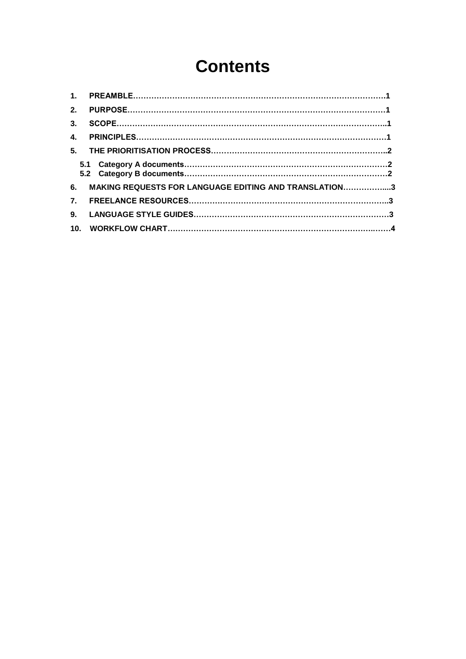# **Contents**

| 2.               |                                                       |  |
|------------------|-------------------------------------------------------|--|
| 3 <sub>1</sub>   |                                                       |  |
| $\mathbf{4}$     |                                                       |  |
|                  |                                                       |  |
|                  |                                                       |  |
| 6.               | MAKING REQUESTS FOR LANGUAGE EDITING AND TRANSLATION3 |  |
| $\overline{7}$ . |                                                       |  |
| 9.               |                                                       |  |
| 10 <sub>1</sub>  |                                                       |  |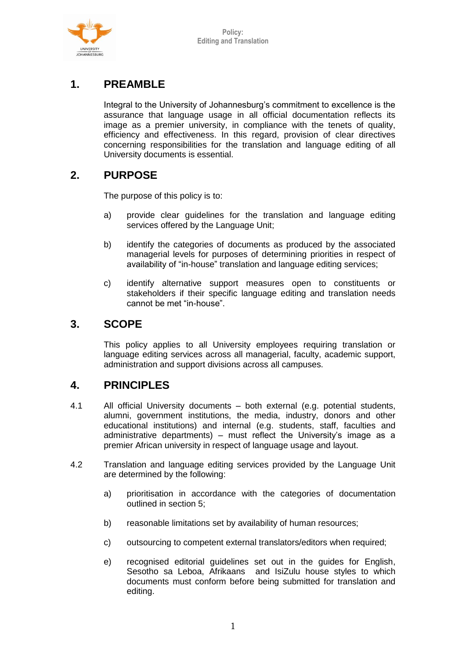

# **1. PREAMBLE**

Integral to the University of Johannesburg's commitment to excellence is the assurance that language usage in all official documentation reflects its image as a premier university, in compliance with the tenets of quality, efficiency and effectiveness. In this regard, provision of clear directives concerning responsibilities for the translation and language editing of all University documents is essential.

## **2. PURPOSE**

The purpose of this policy is to:

- a) provide clear guidelines for the translation and language editing services offered by the Language Unit;
- b) identify the categories of documents as produced by the associated managerial levels for purposes of determining priorities in respect of availability of "in-house" translation and language editing services;
- c) identify alternative support measures open to constituents or stakeholders if their specific language editing and translation needs cannot be met "in-house".

### **3. SCOPE**

This policy applies to all University employees requiring translation or language editing services across all managerial, faculty, academic support, administration and support divisions across all campuses.

### **4. PRINCIPLES**

- 4.1 All official University documents both external (e.g. potential students, alumni, government institutions, the media, industry, donors and other educational institutions) and internal (e.g. students, staff, faculties and administrative departments) – must reflect the University's image as a premier African university in respect of language usage and layout.
- 4.2 Translation and language editing services provided by the Language Unit are determined by the following:
	- a) prioritisation in accordance with the categories of documentation outlined in section 5;
	- b) reasonable limitations set by availability of human resources;
	- c) outsourcing to competent external translators/editors when required;
	- e) recognised editorial guidelines set out in the guides for English, Sesotho sa Leboa, Afrikaans and IsiZulu house styles to which documents must conform before being submitted for translation and editing.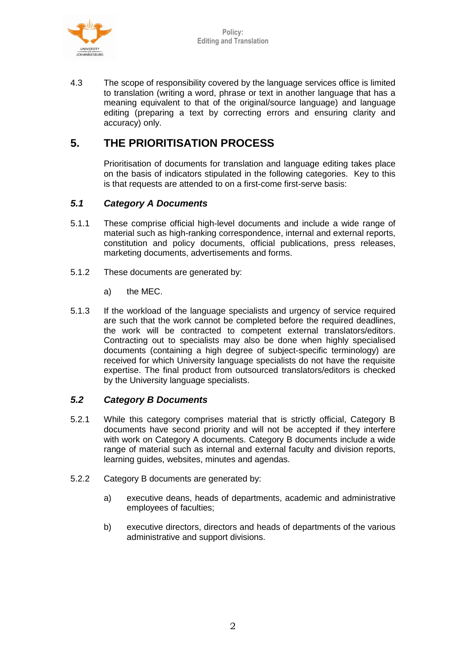

4.3 The scope of responsibility covered by the language services office is limited to translation (writing a word, phrase or text in another language that has a meaning equivalent to that of the original/source language) and language editing (preparing a text by correcting errors and ensuring clarity and accuracy) only.

## **5. THE PRIORITISATION PROCESS**

Prioritisation of documents for translation and language editing takes place on the basis of indicators stipulated in the following categories. Key to this is that requests are attended to on a first-come first-serve basis:

#### *5.1 Category A Documents*

- 5.1.1 These comprise official high-level documents and include a wide range of material such as high-ranking correspondence, internal and external reports, constitution and policy documents, official publications, press releases, marketing documents, advertisements and forms.
- 5.1.2 These documents are generated by:
	- a) the MEC.
- 5.1.3 If the workload of the language specialists and urgency of service required are such that the work cannot be completed before the required deadlines, the work will be contracted to competent external translators/editors. Contracting out to specialists may also be done when highly specialised documents (containing a high degree of subject-specific terminology) are received for which University language specialists do not have the requisite expertise. The final product from outsourced translators/editors is checked by the University language specialists.

#### *5.2 Category B Documents*

- 5.2.1 While this category comprises material that is strictly official, Category B documents have second priority and will not be accepted if they interfere with work on Category A documents. Category B documents include a wide range of material such as internal and external faculty and division reports, learning guides, websites, minutes and agendas.
- 5.2.2 Category B documents are generated by:
	- a) executive deans, heads of departments, academic and administrative employees of faculties;
	- b) executive directors, directors and heads of departments of the various administrative and support divisions.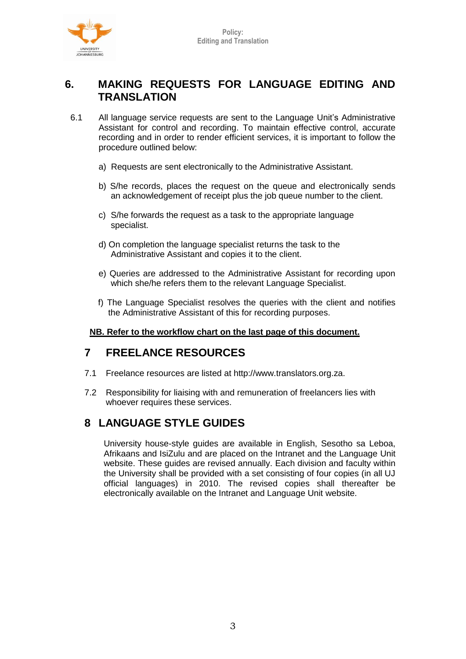

## **6. MAKING REQUESTS FOR LANGUAGE EDITING AND TRANSLATION**

- 6.1 All language service requests are sent to the Language Unit's Administrative Assistant for control and recording. To maintain effective control, accurate recording and in order to render efficient services, it is important to follow the procedure outlined below:
	- a) Requests are sent electronically to the Administrative Assistant.
	- b) S/he records, places the request on the queue and electronically sends an acknowledgement of receipt plus the job queue number to the client.
	- c) S/he forwards the request as a task to the appropriate language specialist.
	- d) On completion the language specialist returns the task to the Administrative Assistant and copies it to the client.
	- e) Queries are addressed to the Administrative Assistant for recording upon which she/he refers them to the relevant Language Specialist.
	- f) The Language Specialist resolves the queries with the client and notifies the Administrative Assistant of this for recording purposes.

#### **NB. Refer to the workflow chart on the last page of this document.**

### **7 FREELANCE RESOURCES**

- 7.1 Freelance resources are listed at http://www.translators.org.za.
- 7.2 Responsibility for liaising with and remuneration of freelancers lies with whoever requires these services.

### **8 LANGUAGE STYLE GUIDES**

University house-style guides are available in English, Sesotho sa Leboa, Afrikaans and IsiZulu and are placed on the Intranet and the Language Unit website. These guides are revised annually. Each division and faculty within the University shall be provided with a set consisting of four copies (in all UJ official languages) in 2010. The revised copies shall thereafter be electronically available on the Intranet and Language Unit website.